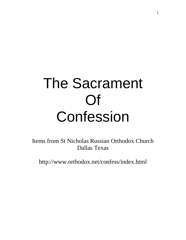# The Sacrament Of Confession

Items from St Nicholas Russian Orthodox Church Dallas Texas

http://www.orthodox.net/confess/index.html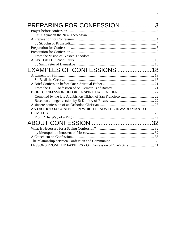| PREPARING FOR CONFESSION 3                                |  |
|-----------------------------------------------------------|--|
|                                                           |  |
|                                                           |  |
|                                                           |  |
|                                                           |  |
|                                                           |  |
|                                                           |  |
|                                                           |  |
|                                                           |  |
|                                                           |  |
| EXAMPLES OF CONFESSIONS  18                               |  |
|                                                           |  |
|                                                           |  |
|                                                           |  |
|                                                           |  |
|                                                           |  |
|                                                           |  |
|                                                           |  |
|                                                           |  |
| AN ORTHODOX CONFESSION WHICH LEADS THE INWARD MAN TO      |  |
| HUMILITY                                                  |  |
|                                                           |  |
|                                                           |  |
|                                                           |  |
|                                                           |  |
|                                                           |  |
|                                                           |  |
| LESSONS FROM THE FATHERS - On Confession of One's Sins 41 |  |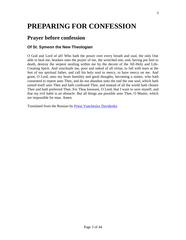## <span id="page-2-0"></span>**PREPARING FOR CONFESSION**

### <span id="page-2-1"></span>**Prayer before confession**

#### <span id="page-2-2"></span>**Of St. Symeon the New Theologian**

O God and Lord of all! Who hath the power over every breath and soul, the only One able to heal me, hearken unto the prayer of me, the wretched one, and, having put him to death, destroy the serpent nestling within me by the decent of the All-Holy and Life-Creating Spirit. And vouchsafe me, poor and naked of all virtue, to fall with tears at the feet of my spiritual father, and call his holy soul to mercy, to have mercy on me. And grant, O Lord, unto my heart humility and good thoughts, becoming a sinner, who hath consented to repent unto Thee, and do not abandon unto the end the one soul, which hath united itself unto Thee and hath confessed Thee, and instead of all the world hath chosen Thee and hath preferred Thee. For Thou knowest, O Lord, that I want to save myself, and that my evil habit is an obstacle. But all things are possible unto Thee, O Master, which are impossible for man. Amen.

Translated from the Russian by Priest Viatcheslav Davidenko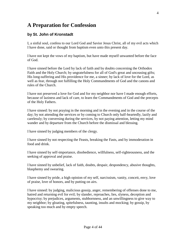## <span id="page-3-0"></span>**A Preparation for Confession**

#### <span id="page-3-1"></span>**by St. John of Kronstadt**

I, a sinful soul, confess to our Lord God and Savior Jesus Christ, all of my evil acts which I have done, said or thought from baptism even unto this present day.

I have not kept the vows of my baptism, but have made myself unwanted before the face of God.

I have sinned before the Lord by lack of faith and by doubts concerning the Orthodox Faith and the Holy Church; by ungratefulness for all of God's great and unceasing gifts; His long-suffering and His providence for me, a sinner; by lack of love for the Lord, as well as fear, through not fulfilling the Holy Commandments of God and the canons and rules of the Church.

I have not preserved a love for God and for my neighbor nor have I made enough efforts, because of laziness and lack of care, to learn the Commandments of God and the precepts of the Holy Fathers.

I have sinned: by not praying in the morning and in the evening and in the course of the day; by not attending the services or by coming to Church only half-heartedly, lazily and carelessly; by conversing during the services, by not paying attention, letting my mind wander and by departure from the Church before the dismissal and blessing.

I have sinned by judging members of the clergy.

I have sinned by not respecting the Feasts, breaking the Fasts, and by immoderation in food and drink.

I have sinned by self-importance, disobedience, willfulness, self-righteousness, and the seeking of approval and praise.

I have sinned by unbelief, lack of faith, doubts, despair, despondency, abusive thoughts, blasphemy and swearing.

I have sinned by pride, a high opinion of my self, narcissism, vanity, conceit, envy, love of praise, love of honors, and by putting on airs.

I have sinned: by judging, malicious gossip, anger, remembering of offenses done to me, hatred and returning evil for evil; by slander, reproaches, lies, slyness, deception and hypocrisy; by prejudices, arguments, stubbornness, and an unwillingness to give way to my neighbor; by gloating, spitefulness, taunting, insults and mocking; by gossip, by speaking too much and by empty speech.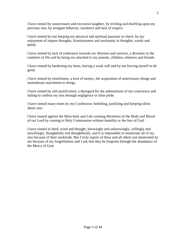I have sinned by unnecessary and excessive laughter, by reviling and dwelling upon my previous sins, by arrogant behavior, insolence and lack of respect.

I have sinned by not keeping my physical and spiritual passions in check, by my enjoyment of impure thoughts, licentiousness and unchastity in thoughts, words and deeds.

I have sinned by lack of endurance towards my illnesses and sorrows, a devotion to the comforts of life and by being too attached to my parents, children, relatives and friends.

I have sinned by hardening my heart, having a weak will and by not forcing myself to do good.

I have sinned by miserliness, a love of money, the acquisition of unnecessary things and immoderate attachment to things.

I have sinned by self-justification, a disregard for the admonitions of my conscience and failing to confess my sins through negligence or false pride.

I have sinned many times by my Confession: belittling, justifying and keeping silent about sins.

I have sinned against the Most-holy and Life-creating Mysteries of the Body and Blood of our Lord by coming to Holy Communion without humility or the fear of God.

I have sinned in deed, word and thought, knowingly and unknowingly, willingly and unwillingly, thoughtfully and thoughtlessly, and it is impossible to enumerate all of my sins because of their multitude. But I truly repent of these and all others not mentioned by me because of my forgetfulness and I ask that they be forgiven through the abundance of the Mercy of God.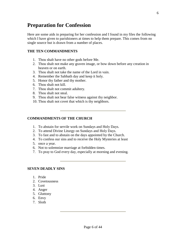### <span id="page-5-0"></span>**Preparation for Confession**

Here are some aids in preparing for her confession and I found in my files the following which I have given to parishioners at times to help them prepare. This comes from no single source but is drawn from a number of places.

#### **THE TEN COMMANDMENTS**

- 1. Thou shalt have no other gods before Me.
- 2. Thou shalt not make any graven image, or bow down before any creation in heaven or on earth.
- 3. Thou shalt not take the name of the Lord in vain.
- 4. Remember the Sabbath day and keep it holy.
- 5. Honor thy father and thy mother.
- 6. Thou shalt not kill.
- 7. Thou shalt not commit adultery.
- 8. Thou shalt not steal.
- 9. Thou shalt not bear false witness against thy neighbor.
- 10. Thou shalt not covet that which is thy neighbors.

#### **COMMANDMENTS OF THE CHURCH**

- 1. To abstain for servile work on Sundays and Holy Days.
- 2. To attend Divine Liturgy on Sundays and Holy Days.
- 3. To fast and to abstain on the days appointed by the Church.
- 4. To confess our sins and to receive the Holy Mysteries at least
- 5. once a year.
- 6. Not to solemnize marriage at forbidden times.
- 7. To pray to God every day, especially at morning and evening.

#### **SEVEN DEADLY SINS**

- 1. Pride
- 2. Covetousness
- 3. Lust
- 4. Anger
- 5. Gluttony
- 6. Envy
- 7. Sloth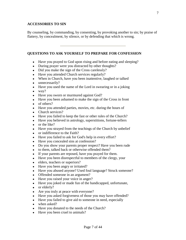#### **ACCESSORIES TO SIN**

By counseling, by commanding, by consenting, by provoking another to sin; by praise of flattery, by concealment, by silence, or by defending that which is wrong.

#### **QUESTIONS TO ASK YOURSELF TO PREPARE FOR CONFESSION**

- Have you prayed to God upon rising and before eating and sleeping?
- During prayer were you distracted by other thoughts?
- Did you make the sign of the Cross carelessly?
- Have you attended Church services regularly?
- When in Church, have you been inattentive, laughed or talked
- unnecessarily?
- Have you used the name of the Lord in swearing or in a joking
- $\bullet$  way?
- Have you sworn or murmured against God?
- Have you been ashamed to make the sign of the Cross in front
- of others?
- Have you attended parties, movies, etc. during the hours of
- Church services?
- Have you failed to keep the fast or other rules of the Church?
- Have you believed in astrology, superstitions, fortune-tellers
- $\bullet$  or the like?
- Have you strayed from the teachings of the Church by unbelief
- or indifference to the Faith?
- Have you failed to ask for God's help in every effort?
- Have you concealed sins at confession?
- Do you show your parents proper respect? Have you been rude
- to them, talked back or otherwise offended them?
- If your parents are reposed, have you prayed for them.
- Have you been disrespectful to members of the clergy, your
- elders, teachers or superiors?
- Have you been angry or irritated?
- Have you abused anyone? Used foul language? Struck someone?
- Offended someone in an argument?
- Have you raised your voice in anger?
- Have you joked or made fun of the handicapped, unfortunate,
- or elderly?
- Are you truly at peace with everyone?
- Have you asked forgiveness of those you may have offended?
- Have you failed to give aid to someone in need, especially
- when asked?
- Have you donated to the needs of the Church?
- Have you been cruel to animals?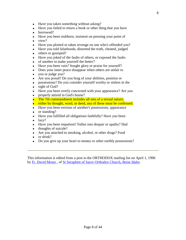- Have you taken something without asking?  $\bullet$
- Have you failed to return a book or other thing that you have
- borrowed?
- Have you been stubborn, insistent on pressing your point of  $\bullet$
- view?
- Have you plotted or taken revenge on one who's offended you?
- Have you told falsehoods, distorted the truth, cheated, judged
- others or gossiped?  $\bullet$
- Have you joked of the faults of others, or exposed the faults
- of another to make yourself the better?  $\bullet$
- Have you been vain? Sought glory or praise for yourself?  $\bullet$
- Does your inner peace disappear when others are unfair to  $\bullet$
- you or judge you?  $\bullet$
- Are you proud? Do you brag of your abilities, position or  $\bullet$
- possessions? Do you consider yourself worthy or sinless in the  $\bullet$
- sight of God?  $\bullet$
- Have you been overly concerned with your appearance? Are you  $\bullet$
- properly attired in God's house?
- The 7th commandment includes all sins of a sexual nature,
- **e** either by thought, word, or deed, any of these must be confessed.
- Have you been envious of another's possessions, appearance  $\bullet$
- or standing?
- Have you fulfilled all obligations faithfully? Have you been  $\bullet$
- lazy?  $\bullet$
- Have you been impatient? Fallen into despair or apathy? Had
- thoughts of suicide?
- Are you attached to smoking, alcohol, or other drugs? Food
- $\bullet$  or drink?
- Do you give up your heart to money or other earthly possessions?

This information is edited from a post to the ORTHODOX mailing list on April 1, 1996 by [Fr. David Moser ,](mailto:moserd@PRIMENET.COM) of [St Seraphim of Sarov Orthodox Church, Boise Idaho](http://www.orthodox.net/directory/id.htm)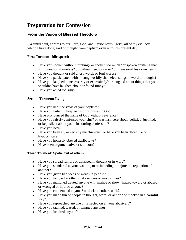## <span id="page-8-0"></span>**Preparation for Confession**

#### <span id="page-8-1"></span>**From the Vision of Blessed Theodora**

I, a sinful soul, confess to our Lord, God, and Savior Jesus Christ, all of my evil acts which I have done, said or thought from baptism even unto this present day.

#### **First Torment: Idle speech**

- Have you spoken without thinking? or spoken too much? or spoken anything that is impure? or shameless? or without need or order? or unreasonable? or unclean?
- Have you thought or said angry words or foul words?
- Have you participated with or sung worldly shameless songs in word or thought?
- Have you laughed unnecessarily or excessively? or laughed about things that you shouldn't have laughed about or found funny?
- Have you acted too silly?

#### **Second Torment: Lying**

- Have you kept the vows of your baptism?
- Have you failed to keep oaths or promises to God?
- Have pronounced the name of God without reverence?
- Have you falsely confessed your sins? or was insincere about, belittled, justified, or kept silent about your sins during confession?
- Have you lied?
- Have you been sly or secretly mischievous? or have you been deceptive or hypocritical?
- Have you honestly obeyed traffic laws?
- Have been argumentative or stubborn?

#### **Third Torment: Spoke evil of others**

- Have you spread rumors or gossiped in thought or in word?
- Have you slandered anyone wanting to or intending to injure the reputation of another?
- Have you given bad ideas or words to people?
- Have you laughed at other's deficiencies or misfortunes?
- Have you maligned treated anyone with malice or shown hatred toward or abused or wronged or injured anyone?
- Have you condemned anyone? or declared others unfit?
- Have you made fun of people in thought, word, or action? or mocked in a harmful way?
- Have you reproached anyone or reflected on anyone abusively?
- Have you taunted, teased, or tempted anyone?
- Have you insulted anyone?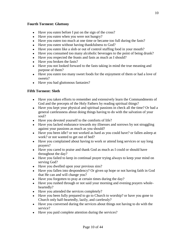- Have you eaten before I put on the sign of the cross?
- Have you eaten when you were not hungry?
- Have you eaten too much at one time or became too full during the fasts?
- Have you eaten without having thankfulness to God?
- Have you eaten like a slob or out of control stuffing food in your mouth?
- Have you consumed too many alcoholic beverages to the point of being drunk?
- Have you respected the feasts and fasts as much as I should?
- Have you broken the fasts?
- Have you not looked forward to the fasts taking in mind the true meaning and purpose of them?
- Have you eaten too many sweet foods for the enjoyment of them or had a love of sweets?
- Have you had gluttonous fantasies?

#### **Fifth Torment: Sloth**

- Have you taken efforts to remember and extensively learn the Commandments of God and the precepts of the Holy Fathers by reading spiritual things?
- Have you kept your physical and spiritual passions in check all the time? Or had a general carelessness about doing things having to do with the salvation of your soul?
- Have you devoted yourself to the comforts of life?
- Have you lacked endurance towards my illnesses and sorrows by not struggling against your passions as much as you should?
- Have you been idle? or not worked as hard as you could have? or fallen asleep at work? or not wanted to get out of bed?
- Have you complained about having to work or attend long services or say long prayers?
- Have you cared to praise and thank God as much as I could or should have throughout the day?
- Have you failed to keep in continual prayer trying always to keep your mind on serving God?
- Have you dwelled upon your previous sins?
- Have you fallen into despondency? Or given up hope or not having faith in God that He can and will change you?
- Have you forgotten to pray at certain times during the day?
- Have you rushed through or not said your morning and evening prayers wholeheartedly?
- Have you attended the services completely?
- Have you been fully prepared to go to Church to worship? or have you gone to Church only half-heartedly, lazily, and carelessly?
- Have you conversed during the services about things not having to do with the service?
- Have you paid complete attention during the services?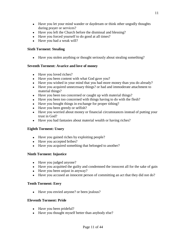- Have you let your mind wander or daydream or think other ungodly thoughts during prayer or services?
- Have you left the Church before the dismissal and blessing?
- Have you forced yourself to do good at all times?
- Have you had a weak will?

#### **Sixth Torment: Stealing**

Have you stolen anything or thought seriously about stealing something?

#### **Seventh Torment: Avarice and love of money**

- Have you loved riches?
- Have you been content with what God gave you?
- Have you wished in your mind that you had more money than you do already?
- Have you acquired unnecessary things? or had and immoderate attachment to material things?
- Have you been too concerned or caught up with material things?
- Have you been too concerned with things having to do with the flesh?
- Have you bought things in exchange for proper tithing?
- Have you been greedy or selfish?
- Have you worried about money or financial circumstances instead of putting your trust in God?
- Have you had fantasies about material wealth or having riches?

#### **Eighth Torment: Usury**

- Have you gained riches by exploiting people?
- Have you accepted bribes?
- Have you acquired something that belonged to another?

#### **Ninth Torment: Injustice**

- Have you judged anyone?
- Have you acquitted the guilty and condemned the innocent all for the sake of gain
- Have you been unjust in anyway?
- Have you accused an innocent person of committing an act that they did not do?

#### **Tenth Torment: Envy**

Have you envied anyone? or been jealous?

#### **Eleventh Torment: Pride**

- Have you been prideful?
- Have you thought myself better than anybody else?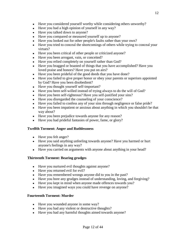- Have you considered yourself worthy while considering others unworthy?
- Have you had a high opinion of yourself in any way?
- Have you talked down to anyone?
- Have you compared or measured yourself up to anyone?
- Have you looked out for other people's faults rather than your own?
- Have you tried to conceal the shortcomings of others while trying to conceal your virtues?
- Have you been critical of other people or criticized anyone?
- Have you been arrogant, vain, or conceited?
- Have you relied completely on yourself rather than God?
- Have you bragged or boasted of things that you have accomplished? Have you loved praise and honors? Have you put on airs?
- Have you been prideful of the good deeds that you have done?
- Have you failed to give proper honor or obey your parents or superiors appointed by God? Have you been disobedient?
- Have you thought yourself self-important?
- Have you been self-willed instead of trying always to do the will of God?
- Have you been self-righteous? Have you self-justified your sins?
- Have you disregarded the counseling of your conscience?
- Have you failed to confess any of your sins through negligence or false pride?
- Have you been impatient or anxious about anything in which you shouldn't be that way about?
- Have you been prejudice towards anyone for any reason?
- Have you had prideful fantasies of power, fame, or glory?

#### **Twelfth Torment: Anger and Ruthlessness**

- Have you felt anger?
- Have you said anything unfeeling towards anyone? Have you harmed or hurt anyone's feelings in any way?
- Have you carried on arguments with anyone about anything in your head?

#### **Thirteenth Torment: Bearing grudges**

- Have you nurtured evil thoughts against anyone?
- Have you returned evil for evil?
- Have you remembered wrongs anyone did to you in the past?
- Have you bore any grudges instead of understanding, loving, and forgiving?
- Have you kept in mind when anyone made offences towards you?
- Have you imagined ways you could have revenge on anyone?

#### **Fourteenth Torment: Murder**

- Have you wounded anyone in some way?
- Have you had any violent or destructive thoughts?
- Have you had any harmful thoughts aimed towards anyone?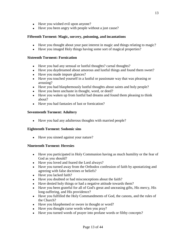- Have you wished evil upon anyone?
- Have you been angry with people without a just cause?

#### **Fifteenth Torment: Magic, sorcery, poisoning, and incantations**

- Have you thought about your past interest in magic and things relating to magic?
- Have you imaged Holy things having some sort of magical properties?

#### **Sixteenth Torment: Fornication**

- Have you had any sensual or lustful thoughts? carnal thoughts?
- Have you daydreamed about amorous and lustful things and found them sweet?
- Have you made impure glances?
- Have you touched yourself in a lustful or passionate way that was pleasing or arousing?
- Have you had blasphemously lustful thoughts about saints and holy people?
- Have you been unchaste in thought, word, or deed?
- Have you waken up from lustful bad dreams and found them pleasing to think about?
- Have you had fantasies of lust or fornication?

#### **Seventeenth Torment: Adultery**

• Have you had any adulterous thoughts with married people?

#### **Eighteenth Torment: Sodomic sins**

Have you sinned against your nature?

#### **Nineteenth Torment: Heresies**

- Have you participated in Holy Communion having as much humility or the fear of God as you should?
- Have you loved and feared the Lord always?
- Have you turned away from the Orthodox confession of faith by apostatizing and agreeing with false doctrines or beliefs?
- Have you lacked faith?
- Have you doubted or had misconceptions about the faith?
- Have denied holy things or had a negative attitude towards them?
- Have you been grateful for all of God's great and unceasing gifts, His mercy, His long-suffering, and His providence?
- Have you fulfilled the Holy Commandments of God, the canons, and the rules of the Church?
- Have you blasphemed or swore in thought or word?
- Have you thought curse words when you pray?
- Have you turned words of prayer into profane words or filthy concepts?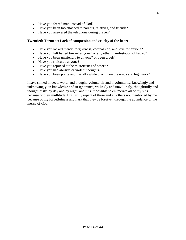- Have you feared man instead of God?
- Have you been too attached to parents, relatives, and friends?
- Have you answered the telephone during prayer?

#### **Twentieth Torment: Lack of compassion and cruelty of the heart**

- Have you lacked mercy, forgiveness, compassion, and love for anyone?
- Have you felt hatred toward anyone? or any other manifestation of hatred?
- Have you been unfriendly to anyone? or been cruel?
- Have you ridiculed anyone?
- Have you rejoiced at the misfortunes of other's?
- Have you had abusive or violent thoughts?
- Have you been polite and friendly while driving on the roads and highways?

I have sinned in deed, word, and thought, voluntarily and involuntarily, knowingly and unknowingly, in knowledge and in ignorance, willingly and unwillingly, thoughtfully and thoughtlessly, by day and by night, and it is impossible to enumerate all of my sins because of their multitude. But I truly repent of these and all others not mentioned by me because of my forgetfulness and I ask that they be forgiven through the abundance of the mercy of God.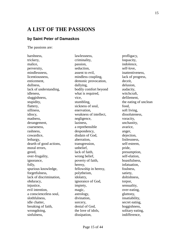## <span id="page-14-0"></span>**A LIST OF THE PASSIONS**

#### <span id="page-14-1"></span>**by Saint Peter of Damaskos**

The passions are:

harshness, trickery, malice, perversity, mindlessness, licentiousness, enticement, dullness, lack of understanding, idleness, sluggishness, stupidity, flattery, silliness, idiocy, madness, derangement, coarseness, rashness, cowardice, lethargy, dearth of good actions, moral errors, greed, over-frugality, ignorance, folly, spurious knowledge, forgetfulness, lack of discrimination, obduracy, injustice, evil intention, a conscienceless soul, slothfulness, idle chatter, breaking of faith, wrongdoing, sinfulness,

lawlessness, criminality, passion, seduction, assent to evil, mindless coupling, demonic provocation, dallying, bodily comfort beyond what is required, vice, stumbling, sickness of soul, enervation, weakness of intellect, negligence, laziness, a reprehensible despondency, disdain of God, aberration, transgression, unbelief, lack of faith, wrong belief, poverty of faith, heresy, fellowship in heresy, polytheism, idolatry, ignorance of God, impiety, magic, astrology, divination, sorcery, denial of God, the love of idols, dissipation,

profligacy, loquacity, indolence, self-love, inattentiveness, lack of progress, deceit, delusion, audacity, witchcraft, defilement, the eating of unclean food, soft living, dissoluteness, voracity, unchastity, avarice, anger, dejection, listlessness, self-esteem, pride, presumption, self-elation, boastfulness, infatuation, foulness, satiety, doltishness, torpor, sensuality, over-eating, gluttony, insatiability, secret eating, hoggishness, solitary eating, indifference,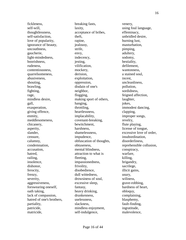fickleness, self-will, thoughtlessness, self-satisfaction, love of popularity, ignorance of beauty, uncouthness, gaucherie, light-mindedness, boorishness, rudeness, contentiousness, quarrelsomeness, abusiveness, shouting, brawling, fighting, rage, mindless desire, gall, exasperation, giving offence, enmity, meddlesomeness, chicanery, asperity, slander, censure, calumny, condemnation, accusation, hatred, railing, insolence, dishonor, ferocity, frenzy, severity, aggressiveness, forswearing oneself, oath taking, lack of compassion, hatred of one's brothers, partiality, patricide, matricide,

breaking fasts, laxity, acceptance of bribes, theft, rapine, jealousy, strife, envy, indecency, jesting, vilification, mockery, derision, exploitation, oppression, disdain of one's neighbor, flogging, making sport of others, hanging, throttling, heartlessness, implacability, covenant-breaking, bewitchment, harshness, shamelessness, impudence, obfuscation of thoughts, obtuseness, mental blindness, attraction to what is fleeting, impassionedness, frivolity, disobedience, dull wittedness, drowsiness of soul, excessive sleep, fantasy, heavy drinking, drunkenness, uselessness, slackness, mindless enjoyment, self-indulgence,

venery, using foul language, effeminacy, unbridled desire, burning lust, masturbation, pimping, adultery, sodomy, bestiality, defilement, wantonness, a stained soul, incest, uncleanliness, pollution, sordidness, feigned affection, laughter, jokes, immodest dancing, clapping, improper songs, revelry, flute playing, license of tongue, excessive love of order, insubordination, disorderliness, reprehensible collusion, conspiracy, warfare, killing, brigandry, sacrilege, illicit gains, usury, wiliness, grave-robbing, hardness of heart, obloquy, complaining, blasphemy, fault-finding, ingratitude, malevolence,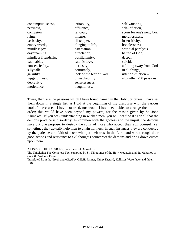| contemptuousness,    | irritability,            | self-vaunting,            |
|----------------------|--------------------------|---------------------------|
| pettiness,           | affluence,               | self-inflation,           |
| confusion,           | rancour,                 | scorn for one's neighbor, |
| lying,               | misuse,                  | mercilessness,            |
| verbosity,           | ill-temper,              | insensitivity,            |
| empty words,         | clinging to life,        | hopelessness,             |
| mindless joy,        | ostentation,             | spiritual paralysis,      |
| daydreaming,         | affectation,             | hatred of God,            |
| mindless friendship, | pusillanimity,           | despair,                  |
| bad habits,          | satanic love,            | suicide,                  |
| nonsensicality,      | curiosity,               | a falling away from God   |
| silly talk,          | contumely,               | in all things,            |
| garrulity,           | lack of the fear of God, | utter destruction --      |
| niggardliness,       | unteachability,          | altogether 298 passions.  |
| depravity,           | senselessness,           |                           |
| intolerance,         | haughtiness,             |                           |

These, then, are the passions which I have found named in the Holy Scriptures. I have set them down in a single list, as I did at the beginning of my discourse with the various books I have used. I have not tried, nor would I have been able, to arrange them all in order; this would have been beyond my powers, for the reason given by St. John Klimakos: 'If you seek understanding in wicked men, you will not find it.' For all that the demons produce is disorderly. In common with the godless and the unjust, the demons have but one purpose: to destroy the souls of those who accept their evil counsel. Yet sometimes they actually help men to attain holiness. In such instances they are conquered by the patience and faith of those who put their trust in the Lord, and who through their good actions and resistance to evil thoughts counteract the demons and bring down curses upon them.

A LIST OF THE PASSIONS, Saint Peter of Damaskos

The Philokalia; The Complete Text compiled by St. Nikodimos of the Holy Mountain and St. Makarios of Corinth, Volume Three

Translated from the Greek and edited by G.E.H. Palmer, Philip Sherard, Kallistos Ware faber and faber, 1984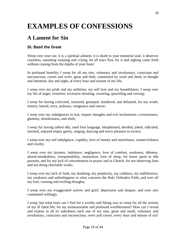## <span id="page-17-0"></span>**EXAMPLES OF CONFESSIONS**

## <span id="page-17-1"></span>**A Lament for Sin**

#### <span id="page-17-2"></span>**St. Basil the Great**

Weep over your sin: it is a spiritual ailment; it is death to your immortal soul; it deserves ceaseless, unending weeping and crying; let all tears flow for it and sighing come forth without ceasing from the depths of your heart.

In profound humility I weep for all my sins, voluntary and involuntary, conscious and unconscious, covert and overt, great and little, committed by word and deed, in thought and intention, day and night, at every hour and minute of my life.

I weep over my pride and my ambition, my self love and my boastfulness; I weep over my fits of anger, irritation, excessive shouting, swearing, quarreling and cursing;

I weep for having criticized, censured, gossiped, slandered, and defamed, for my wrath, enmity, hatred, envy, jealousy, vengeance and rancor;

I weep over my indulgences in lust, impure thoughts and evil inclinations; covetousness, gluttony, drunkenness, and sloth;

I weep for having talked idly, used foul language, blasphemed, derided, joked, ridiculed, mocked, enjoyed empty gaiety, singing, dancing and every pleasure to excess;

I weep over my self indulgence, cupidity, love of money and miserliness, unmercifulness and cruelty;

I weep over my laziness, indolence, negligence, love of comfort, weakness, idleness, absent-mindedness, irresponsibility, inattention, love of sleep, for hours spent in idle pursuits, and for my lack of concentration in prayer and in Church, for not observing fasts and not doing charitable works.

I weep over my lack of faith, my doubting, my perplexity, my coldness, my indifference, my weakness and unfeelingness in what concerns the Holy Orthodox Faith, and over all my foul, cunning and reviling thoughts;

I weep over my exaggerated sorrow and grief, depression and despair, and over sins committed willingly.

I weep, but what tears can I find for a worthy and fitting way to weep for all the actions of my ill fated life; for my immeasurable and profound worthlessness? How can I reveal and expose in all its nakedness each one of my sins, great and small, voluntary and involuntary, conscious and unconscious, overt and covert, every hour and minute of sin?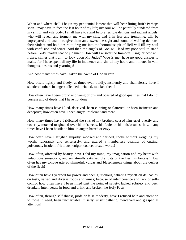When and where shall I begin my penitential lament that will bear fitting fruit? Perhaps soon I may have to face the last hour of my life; my soul will be painfully sundered from my sinful and vile body; I shall have to stand before terrible demons and radiant angels, who will reveal and torment me with my sins; and I, in fear and trembling, will be unprepared and unable to give them an answer; the sight and sound of wailing demons, their violent and bold desire to drag me into the bottomless pit of Hell will fill my soul with confusion and terror. And then the angels of God will lead my poor soul to stand before God's fearful seat of judgment. How will I answer the Immortal King, or how will I dare, sinner that I am, to look upon My Judge? Woe is me! have no good answer to make, for I have spent all my life in indolence and sin, all my hours and minutes in vain thoughts, desires and yearnings!

And how many times have I taken the Name of God in vain!

How often, lightly and freely, at times even boldly, insolently and shamelessly have I slandered others in anger; offended, irritated, mocked them!

How often have I been proud and vainglorious and boasted of good qualities that I do not possess and of deeds that I have not done!

How many times have I lied, deceived, been cunning or flattered, or been insincere and deceptive; how often have I been angry, intolerant and mean!

How many times have I ridiculed the sins of my brother, caused him grief overtly and covertly, mocked or gloated over his misdeeds, his faults or his misfortunes; how many times have I been hostile to him, in anger, hatred or envy!

How often have I laughed stupidly, mocked and derided, spoke without weighing my words, ignorantly and senselessly, and uttered a numberless quantity of cutting, poisonous, insolent, frivolous, vulgar, coarse, brazen words!

How often, affected by beauty, have I fed my mind, my imagination and my heart with voluptuous sensations, and unnaturally satisfied the lusts of the flesh in fantasy! How often has my tongue uttered shameful, vulgar and blasphemous things about the desires of the flesh!

How often have I yearned for power and been gluttonous, satiating myself on delicacies, on tasty, varied and diverse foods and wines; because of intemperance and lack of selfcontrol how often have I been filled past the point of satiety, lacked sobriety and been drunken, intemperate in food and drink, and broken the Holy Fasts!

How often, through selfishness, pride or false modesty, have I refused help and attention to those in need, been uncharitable, miserly, unsympathetic, mercenary and grasped at attention!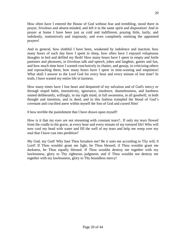How often have I entered the House of God without fear and trembling, stood there in prayer, frivolous and absent-minded, and left it in the same spirit and disposition! And in prayer at home I have been just as cold and indifferent, praying little, lazily, and indolently, inattentively and impiously, and even completely omitting the appointed prayers!

And in general, how slothful I have been, weakened by indolence and inaction; how many hours of each day have I spent in sleep, how often have I enjoyed voluptuous thoughts in bed and defiled my flesh! How many hours have I spent in empty and futile pastimes and pleasures, in frivolous talk and speech, jokes and laughter, games and fun, and how much time have I wasted conclusively in chatter, and gossip, in criticizing others and reproaching them; how many hours have I spent in time-wasting and emptiness! What shall I answer to the Lord God for every hour and every minute of lost time? In truth, I have wasted my entire life in laziness.

How many times have I lost heart and despaired of my salvation and of God's mercy or through stupid habit, insensitivity, ignorance, insolence, shamelessness, and hardness sinned deliberately, willingly, in my right mind, in full awareness, in all goodwill, in both thought and intention, and in deed, and in this fashion trampled the blood of God's covenant and crucified anew within myself the Son of God and cursed Him!

0 how terrible the punishment that I have drawn upon myself!

How is it that my eyes are not streaming with constant tears?.. If only my tears flowed from the cradle to the grave, at every hour and every minute of my tortured life! Who will now cool my head with water and fill the well of my tears and help me weep over my soul that I have cast into perdition?

My God, my God! Why hast Thou forsaken me? Be it unto me according to Thy will, 0 Lord! If Thou wouldst grant me light, be Thou blessed; if Thou wouldst grant me darkness, be Thou equally blessed. If Thou wouldst destroy me together with my lawlessness, glory to Thy righteous judgment; and if Thou wouldst not destroy me together with my lawlessness, glory to Thy boundless mercy!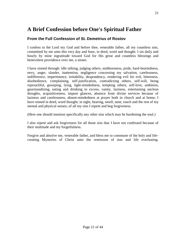## <span id="page-20-0"></span>**A Brief Confession before One's Spiritual Father**

#### <span id="page-20-1"></span>**From the Full Confession of St. Demetrius of Rostov**

I confess to the Lord my God and before thee, venerable father, all my countless sins, committed by me unto this very day and hour, in deed, word and thought. I sin daily and hourly by mine ingratitude toward God for His great and countless blessings and benevolent providence over me, a sinner.

I have sinned through: idle talking, judging others, stubbornness, pride, hard-heartedness, envy, anger, slander, inattention, negligence concerning my salvation, carelessness, indifference, impertinence, irritability, despondency, rendering evil for evil, bitterness, disobedience, complaining, self-justification, contradicting others, self-will, being reproachful, gossiping, lying, light-mindedness, tempting others, self-love, ambition, gourmandizing, eating and drinking to excess, vanity, laziness, entertaining unclean thoughts, acquisitiveness, impure glances, absence from divine services because of laziness and carelessness, absent-mindedness at prayer both in church and at home; I have sinned in deed, word thought; in sight, hearing, smell, taste, touch and the rest of my mental and physical senses; of all my sins I repent and beg forgiveness.

(Here one should mention specifically any other sins which may be burdening the soul.)

I also repent and ask forgiveness for all those sins that I have not confessed because of their multitude and my forgetfulness.

Forgive and absolve me, venerable father, and bless me to commune of the holy and lifecreating Mysteries of Christ unto the remission of sins and life everlasting.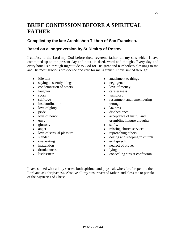## <span id="page-21-0"></span>**BRIEF CONFESSION BEFORE A SPIRITUAL FATHER**

#### <span id="page-21-1"></span>**Compiled by the late Archbishop Tikhon of San Francisco.**

#### <span id="page-21-2"></span>**Based on a longer version by St Dimitry of Rostov.**

I confess to the Lord my God before thee, reverend father, all my sins which I have committed up to the present day and hour, in deed, word and thought. Every day and every hour I sin through ingratitude to God for His great and numberless blessings to me and His most gracious providence and care for me, a sinner. I have sinned through:

- idle talk
- saying unseemly things
- condemnation of others
- laughter
- scorn
- self-love
- insubordination
- love of glory
- pride
- love of honor
- envy
- gluttony
- anger
- love of sensual pleasure
- slander
- over-eating
- inattention
- drunkenness
- listlessness
- attachment to things  $\bullet$
- negligence
- love of money
- carelessness
- vainglory  $\bullet$
- resentment and remembering  $\bullet$ wrongs
- laziness
- disobedience
- acceptance of lustful and  $\bullet$ grumbling impure thoughts
- self-will
- missing church services  $\bullet$
- reproaching others  $\bullet$
- dozing and sleeping in church  $\bullet$
- evil speech  $\bullet$
- neglect of prayer  $\bullet$
- $\bullet$ lying
- concealing sins at confession

I have sinned with all my senses, both spiritual and physical, wherefore I repent to the Lord and ask forgiveness. Absolve all my sins, reverend father, and bless me to partake of the Mysteries of Christ.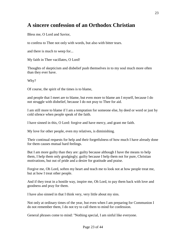## <span id="page-22-0"></span>**A sincere confession of an Orthodox Christian**

Bless me, O Lord and Savior,

to confess to Thee not only with words, but also with bitter tears.

and there is much to weep for...

My faith in Thee vacillates, O Lord!

Thoughts of skepticism and disbelief push themselves in to my soul much more often than they ever have.

Why?

Of course, the spirit of the times is to blame,

and people that I meet are to blame, but even more to blame am I myself, because I do not struggle with disbelief, because I do not pray to Thee for aid.

I am still more to blame if I am a temptation for someone else, by deed or word or just by cold silence when people speak of the faith.

I have sinned in this, O Lord: forgive and have mercy, and grant me faith.

My love for other people, even my relatives, is diminishing.

Their continual requests for help and their forgetfulness of how much I have already done for them causes mutual hard feelings.

But I am more guilty than they are: guilty because although I have the means to help them, I help them only grudgingly; guilty because I help them not for pure, Christian motivations, but out of pride and a desire for gratitude and praise.

Forgive me, Oh Lord, soften my heart and teach me to look not at how people treat me, but at how I treat other people.

And if they treat in a hostile way, inspire me, Oh Lord, to pay them back with love and goodness and pray for them.

I have also sinned in that I think very, very little about my sins.

Not only at ordinary times of the year, but even when I am preparing for Communion I do not remember them, I do not try to call them to mind for confession.

General phrases come to mind: "Nothing special, I am sinful like everyone.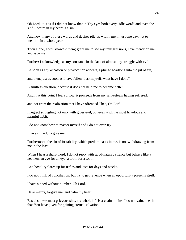Oh Lord, it is as if I did not know that in Thy eyes both every "idle word" and even the sinful desire in my heart is a sin.

24

And how many of these words and desires pile up within me in just one day, not to mention in a whole year!

Thou alone, Lord, knowest them; grant me to see my transgressions, have mercy on me, and save me.

Further: I acknowledge as my constant sin the lack of almost any struggle with evil.

As soon as any occasion or provocation appears, I plunge headlong into the pit of sin,

and then, just as soon as I have fallen, I ask myself: what have I done?

A fruitless question, because it does not help me to become better.

And if at this point I feel sorrow, it proceeds from my self-esteem having suffered,

and not from the realization that I have offended Thee, Oh Lord.

I neglect struggling not only with gross evil, but even with the most frivolous and harmful habit.

I do not know how to master myself and I do not even try.

I have sinned; forgive me!

Furthermore, the sin of irritability, which predominates in me, is not withdrawing from me in the least.

When I hear a sharp word, I do not reply with good-natured silence but behave like a heathen: an eye for an eye, a tooth for a tooth.

And hostility flares up for trifles and lasts for days and weeks.

I do not think of conciliation, but try to get revenge when an opportunity presents itself.

I have sinned without number, Oh Lord.

Have mercy, forgive me, and calm my heart!

Besides these most grievous sins, my whole life is a chain of sins: I do not value the time that You have given for gaining eternal salvation.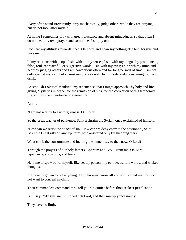I very often stand irreverently, pray mechanically, judge others while they are praying, but do not look after myself.

At home I sometimes pray with great reluctance and absent-mindedness, so that often I do not hear my own prayer, and sometimes I simply omit it.

Such are my attitudes towards Thee, Oh Lord, and I can say nothing else but "forgive and have mercy!

In my relations with people I sin with all my senses; I sin with my tongue by pronouncing false, foul, reproachful, or suggestive words; I sin with my eyes; I sin with my mind and heart by judging others and I am contentious often and for long periods of time; I sin not only against my soul, but against my body as well, by immoderately consuming food and drink.

Accept, Oh Lover of Mankind, my repentance, that I might approach Thy holy and lifegiving Mysteries in peace, for the remission of sins, for the correction of this temporary life, and for the inheritance of eternal life.

Amen.

"I am not worthy to ask forgiveness, Oh Lord!"

So the great teacher of penitence, Saint Ephraim the Syrian, once exclaimed of himself.

"How can we resist the attack of sin? How can we deny entry to the passions?", Saint Basil the Great asked Saint Ephraim, who answered only by shedding tears.

What can I, the consummate and incorrigible sinner, say to thee now, O Lord?

Through the prayers of our holy fathers, Ephraim and Basil, grant me, Oh Lord, repentance, and words, and tears.

Help me to spew out of myself, like deadly poison, my evil deeds, idle words, and wicked thoughts.

If I have forgotten to tell anything, Thou knowest know all and will remind me; for I do not want to conceal anything.

Thou commandest command me, "tell your iniquities before thou seekest justification.

But I say: "My sins are multiplied, Oh Lord, and they multiply incessantly.

They have no limit.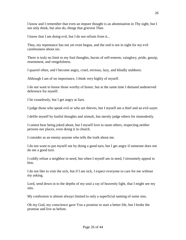I know and I remember that even an impure thought is an abomination in Thy sight, but I not only think, but also do, things that grievest Thee.

I know that I am doing evil, but I do not refrain from it...

Thus, my repentance has not yet even begun, and the end is not in sight for my evil carelessness about sin.

There is truly no limit to my foul thoughts, bursts of self-esteem, vainglory, pride, gossip, resentment, and vengefulness.

I quarrel often, and I become angry, cruel, envious, lazy, and blindly stubborn.

Although I am of no importance, I think very highly of myself.

I do not want to honor those worthy of honor, but at the same time I demand undeserved deference for myself.

I lie ceaselessly, but I get angry at liars.

I judge those who speak evil or who are thieves, but I myself am a thief and an evil-sayer.

I defile myself by lustful thoughts and stimuli, but sternly judge others for immodestly.

I cannot bear being joked about, but I myself love to taunt others, respecting neither persons nor places, even doing it in church.

I consider as an enemy anyone who tells the truth about me.

I do not want to put myself out by doing a good turn, but I get angry if someone does not do me a good turn.

I coldly refuse a neighbor in need, but when I myself am in need, I tiresomely appeal to him.

I do not like to visit the sick, but if I am sick, I expect everyone to care for me without my asking.

Lord, send down in to the depths of my soul a ray of heavenly light, that I might see my sins.

My confession is almost always limited to only a superficial naming of some sins.

Oh my God, my conscience gave You a promise to start a better life, but I broke the promise and live as before.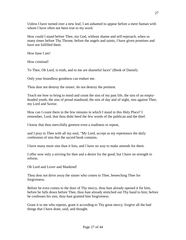Unless I have turned over a new leaf, I am ashamed to appear before a mere human with whom I have often not been true to my word.

How could I stand before Thee, my God, without shame and self-reproach, when so many times before Thy Throne, before the angels and saints, I have given promises and have not fulfilled them.

How base I am!

How criminal!

To Thee, Oh Lord, is truth, and to me are shameful faces" (Book of Daniel).

Only your boundless goodness can endure me.

Thou dost not destroy the sinner; do not destroy the penitent.

Teach me how to bring to mind and count the sins of my past life, the sins of an emptyheaded youth, the sins of proud manhood, the sins of day and of night, sins against Thee, my Lord and Savior.

How can I count them in the few minutes in which I stand in this Holy Place? I remember, Lord, that thou didst heed the few words of the publican and the thief.

I know that thou mercifully greetest even a readiness to repent,

and I pray to Thee with all my soul, "My Lord, accept as my repentance the daily confession of sins that the sacred book contains.

I have many more sins than it lists, and I have no way to make amends for them.

I offer now only a striving for thee and a desire for the good, but I have no strength to reform.

Oh Lord and Lover and Mankind!

Thou dost not drive away the sinner who comes to Thee, beseeching Thee for forgiveness.

Before he even comes to the door of Thy mercy, thou hast already opened it for him; before he falls down before Thee, thou hast already stretched out Thy hand to him; before he confesses his sins, thou hast granted him forgiveness.

Grant it to me who repents, grant it according to Thy great mercy; forgive all the bad things that I have done, said, and thought.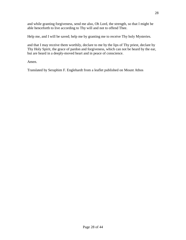and while granting forgiveness, send me also, Oh Lord, the strength, so that I might be able henceforth to live according to Thy will and not to offend Thee.

Help me, and I will be saved; help me by granting me to receive Thy holy Mysteries.

and that I may receive them worthily, declare to me by the lips of Thy priest, declare by Thy Holy Spirit, the grace of pardon and forgiveness, which can not be heard by the ear, but are heard in a deeply-moved heart and in peace of conscience.

Amen.

Translated by Seraphim F. Englehardt from a leaflet published on Mount Athos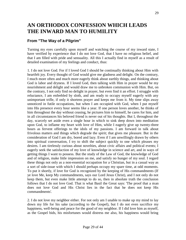## <span id="page-28-0"></span>**AN ORTHODOX CONFESSION WHICH LEADS THE INWARD MAN TO HUMILITY**

#### <span id="page-28-1"></span>**From "The Way of a Pilgrim"**

Turning my eyes carefully upon myself and watching the course of my inward state, I have verified by experience that I do not love God, that I have no religious belief, and that I am filled with pride and sensuality. All this I actually find in myself as a result of detailed examination of my feelings and conduct, thus:

1. I do not love God. For if I loved God I should be continually thinking about Him with heartfelt joy. Every thought of God would give me gladness and delight. On the contrary, I much more often and much more eagerly think about earthly things, and thinking about God is labor and dryness. If I loved God, then talking with Him in prayer would be my nourishment and delight and would draw me to unbroken communion with Him. But, on the contrary, I not only find no delight in prayer, but even find it an effort. I struggle with reluctance, I am enfeebled by sloth, and am ready to occupy myself eagerly with any unimportant trifle, if only it shortens prayer and keeps me from it. My time slips away unnoticed in futile occupations, but when I am occupied with God, when I put myself into His presence every hour seems like a year. If one person loves another, he thinks of him throughout the day without ceasing, he pictures him to himself, he cares for him, and in all circumstances his beloved friend is never out of his thoughts. But I, throughout the day, scarcely set aside even a single hour in which to sink deep down into meditation upon God, to inflame my heart with love of Him, while I eagerly give up twenty-three hours as fervent offerings to the idols of my passions. I am forward in talk about frivolous matters and things which degrade the spirit; that gives me pleasure. But in the consideration of God I am dry, bored and lazy. Even if I am unwillingly drawn by others into spiritual conversation, I try to shift the subject quickly to one which pleases my desires. I am tirelessly curious about novelties, about civic affairs and political events; I eagerly seek the satisfaction of my love of knowledge in science and art, and in ways of getting things I want to possess. But the study of the Law of God, the knowledge of God and of religion, make little impression on me, and satisfy no hunger of my soul. I regard these things not only as a non-essential occupation for a Christian, but in a casual way as a sort of side-issue with which I should perhaps occupy my spare time, at odd moments. To put it shortly, if love for God is recognized by the keeping of His commandments (If ye love Me, keep My commandments, says our Lord Jesus Christ), and I not only do not keep them, but even make little attempt to do so, then in absolute truth the conclusion follows that I do not love God. That is what Basil the Great says: 'The proof that a man does not love God and His Christ lies in the fact that he does not keep His commandments'.

2. I do not love my neighbor either. For not only am I unable to make up my mind to lay down my life for his sake (according to the Gospel), but I do not even sacrifice my happiness, well-being and peace for the good of my neighbor. If I did love him as myself, as the Gospel bids, his misfortunes would distress me also, his happiness would bring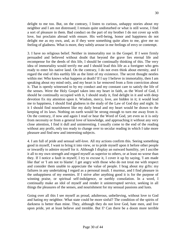delight to me too. But, on the contrary, I listen to curious, unhappy stories about my neighbor and I am not distressed; I remain quite undisturbed or what is still worse, I find a sort of pleasure in them. Bad conduct on the part of my brother I do not cover up with love, but proclaim abroad with ensure. His well-being, honor and happiness do not delight me as my own, and, as if they were something quite alien to me, give me no feeling of gladness. What is more, they subtly arouse in me feelings of envy or contempt.

3. I have no religious belief. Neither in immortality nor in the Gospel. If I were firmly persuaded and believed without doubt that beyond the grave lies eternal life and recompense for the deeds of this life, I should be continually thinking of this. The very idea of immortality would terrify me and I should lead this life as a foreigner who gets ready to enter his native land. On the contrary, I do not even think about eternity, and I regard the end of this earthly life as the limit of my existence. The secret thought nestles within me: Who knows what happens at death? If I say I believe in immortality, then I am speaking about my mind only, and my heart is far removed from a firm conviction about it. That is openly witnessed to by my conduct and my constant care to satisfy the life of the senses. Were the Holy Gospel taken into my heart in faith, as the Word of God, I should be continually occupied with it, I should study it, find delight in it and with deep devotion fix my attention upon it. Wisdom, mercy, love, are hidden in it; it would lead me to happiness, I should find gladness in the study of the Law of God day and night. In it I should find nourishment like my daily bread and my heart would be drawn to the keeping of its laws. Nothing on earth would be strong enough to turn me away from it. On the contrary, if now and again I read or hear the Word of God, yet even so it is only from necessity or from a general love of knowledge, and approaching it without any very close attention, I find it dull and uninteresting. I usually come to the end of the reading without any profit, only too ready to change over to secular reading in which I take more pleasure and find new and interesting subjects.

4. I am full of pride and sensual self-love. All my actions confirm this. Seeing something good in myself, I want to bring it into view, or to pride myself upon it before other people or inwardly to admire myself for it. Although I display an outward humility, yet I ascribe it all to my own strength and regard myself as superior to others, or at least no worse than they. If I notice a fault in myself, I try to excuse it, I cover it up by saying, 'I am made like that' or 'I am not to blame'. I get angry with those who do not treat me with respect and consider them unable to appreciate the value of people. I brag about my gifts: my failures in any undertaking I regard as a personal insult. I murmur, and I find pleasure in the unhappiness of my enemies. If I strive after anything good it is for the purpose of winning praise, or spiritual self-indulgence, or earthly consolation. In a word, I continually make an idol of myself and render it uninterrupted service, seeking in all things the pleasures of the senses, and nourishment for my sensual passions and lusts.

Going over all this I see myself as proud, adulterous, unbelieving, without love to God and hating my neighbor. What state could be more sinful? The condition of the spirits of darkness is better than mine. They, although they do not love God, hate men, and live upon pride, yet at least believe and tremble. But I? Can there be a doom more terrible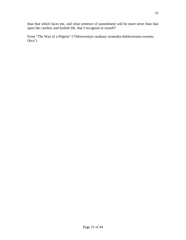than that which faces me, and what sentence of punishment will be more sever than that upon the careless and foolish life. that I recognize in myself?

From "The Way of a Pilgrim" ("Otkrovennye rasskazy strannika dukhovnomu svoemu Otcu")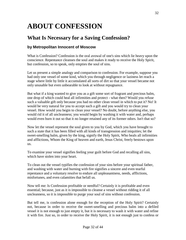## <span id="page-31-0"></span>**ABOUT CONFESSION**

## <span id="page-31-1"></span>**What Is Necessary for a Saving Confession?**

#### <span id="page-31-2"></span>**by Metropolitan Innocent of Moscow**

What is Confession? Confession is the oral avowal of one's sins which lie heavy upon the conscience. Repentance cleanses the soul and makes it ready to receive the Holy Spirit, but confession, so to speak, only empties the soul of sins.

Let us present a simple analogy and comparison to confession. For example, suppose you had only one vessel of some kind, which you through negligence or laziness let reach a stage where little by little it accumulated all sorts of dirt so that your vessel became not only unusable but even unbearable to look at without repugnance.

But what if a king wanted to give you as a gift some sort of fragrant and precious balm, one drop of which could heal all infirmities and protect - what then? Would you refuse such a valuable gift only because you had no other clean vessel in which to put it? No! It would be very natural for you to accept such a gift and you would try to clean your vessel. How would you begin to clean your vessel? No doubt, before anything else, you would rid it of all uncleanness; you would begin by washing it with water and, perhaps would even burn it out so that it no longer retained any of its former odors. Isn't that so?

Now let the vessel represent the soul given to you by God, which you have brought to such a state that it has been filled with all kinds of transgression and iniquities; let the sweet-smelling balm, given by the king, signify the Holy Spirit, Who heals all infirmities and afflictions, Whom the King of heaven and earth, Jesus Christ, freely bestows upon us.

To examine your vessel signifies feeling your guilt before God and recalling all sins, which have stolen into your heart.

To clean out the vessel typifies the confession of your sins before your spiritual father, and washing with water and burning with fire signifies a sincere and even tearful repentance and a voluntary resolve to endure all unpleasantness, needs, afflictions, misfortunes, and even calamities that befall us.

Now tell me: Is Confession profitable or needful? Certainly it is profitable and even essential; because, just as it is impossible to cleanse a vessel without ridding it of all uncleanness, so it is impossible to purge your soul of sins without confession.

But tell me, is confession alone enough for the reception of the Holy Spirit? Certainly not, because in order to receive the sweet-smelling and precious balm into a defiled vessel it is not enough to just empty it, but it is necessary to wash it with water and refine it with fire. Just so, in order to receive the Holy Spirit, it is not enough just to confess or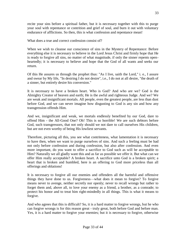recite your sins before a spiritual father, but it is necessary together with this to purge your soul with repentance or contrition and grief of soul, and burn it out with voluntary endurance of afflictions. So then, this is what confession and repentance mean!

What does a true and correct confession consist of?

When we wish to cleanse our conscience of sins in the Mystery of Repentance: Before everything else it is necessary to believe in the Lord Jesus Christ and firmly hope that He is ready to forgive all sins, no matter of what magnitude, if only the sinner repents openheartedly; it is necessary to believe and hope that the God of all wants and seeks our return.

Of this He assures us through the prophet thus: "As I live, saith the Lord," i. e., I assure and swear by My life, "In desiring I do not desire", i.e., I do not at all desire, "the death of a sinner, but entirely desire his conversion."

It is necessary to have a broken heart. Who is God? And who are we? God is the Almighty Creator of heaven and earth; He is the awful and righteous Judge. And we? We are weak and insignificant mortals. All people, even the greatest people, are less than dust before God, and we can never imagine how disgusting to God is any sin and how any transgression offends Him.

And we, insignificant and weak, we mortals endlessly benefited by our God, dare to offend Him - the All-Good One? Oh! This is so horrible! We are such debtors before God, such transgressors, that not only should we not dare to call ourselves His children, but are not even worthy of being His lowliest servants.

Therefore, picturing all this, you see what contriteness, what lamentation it is necessary to have then, when we want to purge ourselves of sins. And such a feeling must be had not only before confession and during confession, but also after confession. And even more important, do you want to offer a sacrifice to God such as will be acceptable to Him? Naturally we all gladly want this and as far as possible we offer it. But what can we offer Him really acceptable? A broken heart. A sacrifice unto God is a broken spirit; a heart that is broken and humbled, here is an offering to God more priceless than all offerings and oblations!

It is necessary to forgive all our enemies and offenders all the harmful and offensive things they have done to us. Forgiveness—what does it mean to forgive? To forgive means never to avenge, neither secretly nor openly; never to recall wrongs but rather to forget them and, above all, to love your enemy as a friend, a brother, as a comrade; to protect his honor and to treat him right-mindedly in all things. This is what it means to forgive.

And who agrees that this is difficult? So, it is a hard matter to forgive wrongs, but he who can forgive wrongs is for this reason great - truly great, both before God and before man. Yes, it is a hard matter to forgive your enemies; but it is necessary to forgive, otherwise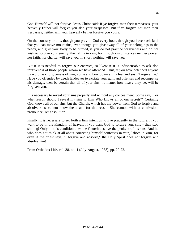God Himself will not forgive. Jesus Christ said: If ye forgive men their trespasses, your heavenly Father will forgive you also your trespasses. But if ye forgive not men their trespasses, neither will your heavenly Father forgive you yours.

On the contrary to this, though you pray to God every hour, though you have such faith that you can move mountains, even though you give away all of your belongings to the needy, and give your body to be burned, if you do not practice forgiveness and do not wish to forgive your enemy, then all is in vain, for in such circumstances neither prayer, nor faith, nor charity, will save you, in short, nothing will save you.

But if it is needful to forgive our enemies, so likewise it is indispensable to ask also forgiveness of those people whom we have offended. Thus, if you have offended anyone by word, ask forgiveness of him, come and bow down at his feet and say, "Forgive me." Have you offended by deed? Endeavor to expiate your guilt and offenses and recompense his damage, then be certain that all of your sins, no matter how heavy they be, will be forgiven you.

It is necessary to reveal your sins properly and without any concealment. Some say, "For what reason should I reveal my sins to Him Who knows all of our secrets?" Certainly God knows all of our sins, but the Church, which has the power from God to forgive and absolve sins, cannot know them, and for this reason She cannot, without confession, pronounce Her absolution.

Finally, it is necessary to set forth a firm intention to live prudently in the future. If you want to be in the kingdom of heaven, if you want God to forgive your sins - then stop sinning! Only on this condition does the Church absolve the penitent of his sins. And he who does not think at all about correcting himself confesses in vain, labors in vain, for even if the priest says, "I forgive and absolve," the Holy Spirit does not forgive and absolve him!

From Orthodox Life, vol. 38, no. 4 (July-August, 1988), pp. 20-22.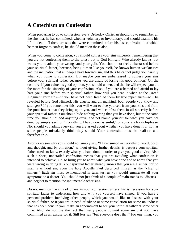## <span id="page-34-0"></span>**A Catechism on Confession**

When preparing to go to confession, every Orthodox Christian should try to remember all the sins that he has committed, whether voluntary or involuntary, and should examine his life in detail. If there are sins that were committed before his last confession, but which he then forgot to confess, he should mention these also.

When you come to confession, you should confess your sins sincerely, remembering that you are not confessing them to the priest, but to God Himself, Who already knows, but wants you to admit your wrongs and your guilt. You should not feel embarrassed before your spiritual father, because, being a man like yourself, he knows human weaknesses and the inclination that all people have towards sin, and thus he cannot judge you harshly when you come to confession. But maybe you are embarrassed to confess your sins before your spiritual father because you are afraid of losing his good opinion? On the contrary, if you value his good opinion, you should understand that he will respect you all the more for the sincerity of your confession. Also, if you are ashamed and afraid to lay bare your sins before your spiritual father, how will you bear it when at the Dread Judgment your sins—if you have not been freed of them by true repentance—will be revealed before God Himself, His angels, and all mankind, both people you know and strangers? If you remember this, you will want to free yourself from your sins and from the punishment that they bring upon you, and will confess them in all sincerity before your spiritual father. You should hide nothing wrong that you have done, but at the same time you should not add anything extra, and not blame yourself for what you have not done by simply saying, "Everything I have done is sinful," or some such catch-phrase. Nor should you admit every sin you are asked about whether you have done it or not, as some people mistakenly think they should Your confession must be realistic and therefore true.

Another reason why you should not simply say, "I have sinned in everything, word, deed, and thought, and by omission," without giving further details, is because your spiritual father needs to know exactly what you have done in order to give you good advice. Also such a short, undetailed confession means that you are avoiding what confession is intended to achieve, i. e. to bring you to admit what you have done and to admit that you were wrong in doing it. Your spiritual father already knows that you are a sinner, for no man is without sin; even the holy Apostle Paul described himself as the "chief of sinners." Each sin must be mentioned in turn, just as you would enumerate all your symptoms to a doctor. You should not just think of a couple of main trends to "discuss," and neglect to mention the innumerable other sins.

Do not mention the sins of others in your confession, unless this is necessary for your spiritual father to understand how and why you yourself have sinned. If you have a personal problem involving other people, which you would like to discuss with your spiritual father, or if you are in need of advice or some consolation for some unkindness that has been done to you, make an appointment to see your spiritual father at some other time. Also, do not use the fact that many people commit some sin that you have committed as an excuse for it. Still less say "but everyone does that." For one thing, you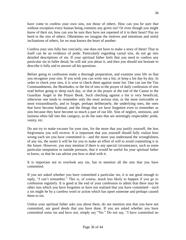have come to confess your own sins, not those of others. How can you be sure that without exception every human being commits any given sin? Or even though you might know of their sin, how can you be sure they have not repented of it in their heart? Pay no heed to the sins of others. Oftentimes we imagine the motives and intentions and sinful inclinations of others, for no man knows the heart of another.

Confess your sins fully but concisely; one does not have to make a story of them! That in itself can be an evidence of pride. Particularly regarding carnal sins, do not go into detailed descriptions of sin. If your spiritual father feels that you need to confess any particular sin in fuller detail, he will ask you about it, and then you should not hesitate to describe it fully and to answer all his questions.

Before going to confession make a thorough preparation, and examine your life so that you recognize your sins. If you wish you can write out a list, or keep a list day by day. In order to check your sins, it is wise to check them against some list. One can use the Ten Commandments, the Beatitudes, or the list of sins in the prayer of daily confession of sins read before going to sleep each day, or that in the prayer at the end of the Canon to the Guardian Angel in the Prayer Book. Such checking against a list is very beneficial, otherwise one tends to remember only the most serious sins, or the most noticeable or most extraordinarily, and to forget, perhaps deliberately, the underlying ones, the ones that have become habitual, and the things that we have forgotten even to remember as sins because they have become so much a part of our life. Sins of neglect, omission, and laziness often fall into this category, as do the ones that are seemingly respectable: pride, vanity, etc.

Do not try to make excuses for your sins, for the more that you justify yourself, the less forgiveness you will receive. It is important that you yourself should fully realize how wrong each sin you have committed is—and the more you understand the wrongfulness of any sin, the easier it will be for you to make an effort of will to avoid committing it in the future. However, you may mention if there is any special circumstance, such as some particular temptation or outside pressure, that it would be useful for your spiritual father to know, so that he can advise you how to deal with it.

It is important not to overlook any sin, but to mention all the sins that you have committed.

If you are asked whether you have committed a particular sin, it is not good enough to reply, "I can't remember." This is, of course, much less likely to happen if you go to confession regularly. It is good at the end of your confession to admit that there may be other sins which you have forgotten or have not realized that you have committed—such a sin might be by a careless word or action which has upset someone and perhaps caused them to sin.

Unless your spiritual father asks you about them, do not mention sins that you have not committed, nor good deeds that you have done. If you are asked whether you have committed some sin and have not, simply say "No." Do not say, "I have committed no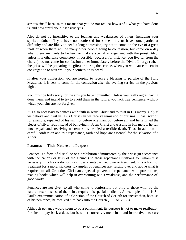serious sins," because this means that you do not realize how sinful what you have done is, and how sinful your insensitivity is.

Also do not be insensitive to the feelings and weaknesses of others, including your spiritual father. If you have not confessed for some time, or have some particular difficulty and are likely to need a long confession, try not to come on the eve of a great feast or when there will be many other people going to confession, but come on a day when there are likely to be few, or make a special arrangement with the priest. Also, unless it is otherwise completely impossible (because, for instance, you live far from the church), do not come for confession either immediately before the Divine Liturgy (when the priest will be preparing the gifts) or during the service, when you will cause the entire congregation to wait while your confession is heard.

If after your confession you are hoping to receive a blessing to partake of the Holy Mysteries, it is best to come for the confession after the evening service on the previous night.

You must be truly sorry for the sins you have committed. Unless you really regret having done them, and intend to try to avoid them in the future, you lack true penitence, without which your sins are not forgiven.

It is also necessary to confess with faith in Jesus Christ and to trust in His mercy. Only if we believe and trust in Jesus Christ can we receive remission of our sins. Judas Iscariot, for example, repented of his sin, not before one man, but before all, and he returned the pieces of silver. But instead of believing in Jesus Christ and trusting in His mercy, he fell into despair and, receiving no remission, he died a terrible death. Thus, in addition to careful confession and true repentance, faith and hope are essential for the salvation of a sinner.

#### **Penances — Their Nature and Purpose**

Penance is a form of discipline or a prohibition administered by the priest (in accordance with the canons or laws of the Church) to those repentant Christians for whom it is necessary, much as a doctor prescribes a suitable medicine or treatment. It is a form of treatment for a moral sickness. Examples of penances are: fasting over and above what is required of all Orthodox Christians, special prayers of repentance with prostrations, reading books which will help in overcoming one's weakness, and the performance of' good works.

Penances are not given to all who come to confession, but only to those who, by the nature or seriousness of their sins, require this special medicine. An example of this is St. Paul's excommunication of a Christian of the Church of Corinth for incest; then, because of his penitence, he received him back into the Church (11 Cor. 2:6-8).

Although penance would seem to be a punishment, its purpose is not to make retribution for sins, to pay back a debt, but is rather corrective, medicinal, and instructive—to cure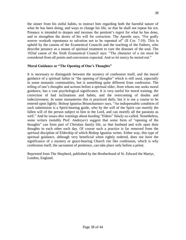the sinner from his sinful habits, to instruct him regarding both the harmful nature of what he has been doing, and ways to change his life, so that he shall not repeat his sin. Penance is intended to deepen and increase the penitent's regret for what he has done, and to strengthen the desire of his will for correction. The Apostle says, "For godly sorrow worketh repentance to salvation not to be repented of" (II Cor. 7:10). This is upheld by the canons of the Ecumenical Councils and the teaching of the Fathers, who describe penance as a means of spiritual treatment to cure the diseases of the soul. The 102nd canon of the Sixth Ecumenical Council says: "The character of a sin must be considered from all points and conversion expected. And so let mercy be meted out."

#### **Moral Guidance or "The Opening of One's Thoughts"**

It is necessary to distinguish between the mystery of confession itself, and the moral guidance of a spiritual father in "the opening of thoughts" which is still used, especially in some monastic communities, but is something quite different from confession. The telling of one's thoughts and actions before a spiritual elder, from whom one seeks moral guidance, has a vast psychological significance. It is very useful for moral training, the correction of bad inclinations and habits, and the overcoming of doubts and indecisiveness. In some monasteries this is practiced daily, but it is not a course to be entered upon lightly. Bishop Ignatius Brianchaninov says, "An indispensable condition of such submission is a Spirit-bearing guide, who by the will of the Spirit can mortify the fallen will of the person subject to him in the Lord, and can mortify all the passions as well." And he issues dire warnings about heeding "Elders" falsely so-called. Nonetheless, some writers (notably Prof. Andreyev) suggest that some form of "opening of the thoughts" can form part of Christian family life, so that husband and wife open their thoughts to each other each day. Of course such a practice is far removed from the spiritual discipline of Eldership of which Bishop Ignatius writes. Either way, this type of spiritual guidance, although very beneficial when rightly ordered, does not have the significance of a mystery or grace-bearing Church rite like confession, which is why confession itself, the sacrament of penitence, can take place only before a priest.

Reprinted from The Shepherd, published by the Brotherhood of St. Edward the Martyr, London, England.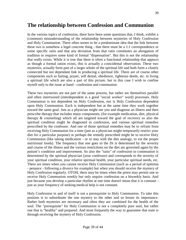### <span id="page-38-0"></span>**The relationship between Confession and Communion**

In the various topics of confession, there have been some questions that, I think, exhibit a (common) misunderstanding of the relationship between mysteries of Holy Confession and Holy Communion. There often seems to be a predominant idea that the link between these two is somehow a legal concrete thing - that there must be a 1:1 correspondence or some specific ratio and that any deviation from that ratio constitutes an abrogation of tradition or requires some kind of formal "dispensation". But this is not the relationship that really exists. While it is true that there is often a functional relationship that appears as though a formal ration exists, this is actually a coincidental observation. These two mysteries, actually form part of a larger whole of the spiritual life and both form a closely connected but not dependant link in producing a spiritual life. There are of course other components such as fasting, prayer, self denial, obedience, righteous deeds, etc. to living a spiritual life which are also a part of this picture, but in this case I wish to confine myself only to the issue at hand - confession and communion.

These two mysteries are not part of the same process, but rather are themselves parallel and often intertwined (interdependent is a good "social worker" word) processes. Holy Communion is not dependent on Holy Confession, nor is Holy Confession dependent upon Holy Communion. Each is independent but at the same time they work together toward the same goal. Just as a physician might see you and diagnose an illness and then prescribe therapy that includes many components, (for example medication, diet, physical therapy & counseling) which all are targeted toward the goal of recovery so also the spiritual condition might be diagnosed in confession, and various spiritual remedies prescribed by the confessor. And one of those spiritual remedies may be to refrain from receiving Holy Communion for a time (just as a physician might temporarily restrict your diet for a particular purpose) or perhaps the remedy prescribed might be to receive Holy Communion (like taking medication - or to stay with the diet analogy, to eat the proper nutritional foods). The frequency that one goes to the Dr is determined by the severity and course of the illness and the various restrictions on the diet are governed again by the patient's condition and improvement. So also the "ratio" of confession to communion is determined by the spiritual physician (your confessor) and corresponds to the severity of your spiritual condition, your relative spiritual health, your particular spiritual needs, etc. There are times when you cannot receive Holy Communion (such as a period of epitimia - penance - following a divorce for example) but when you should receive the mystery of Holy Confession regularly. OTOH, there may be times when the priest may permit one to receive Holy Communion weekly but only require confession on a biweekly basis. And just because you develop a particular rhythm at one time doesn't mean that it is constant just as your frequency of seeking medical help is not constant.

Holy Confession in and of itself is not a prerequisite to Holy Communion. To take this position is to subordinate the one mystery to the other and so lessen its importance. Rather both mysteries are necessary and often they are combined for the health of the soul. The "prerequisite" for Holy Communion is not a completely pure soul, but rather one that is "healthy" and prepared. And most frequently the way to guarantee that state is through receiving the mystery of Holy Confession.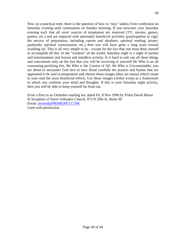Now on a practical note, there is the question of how to "stay" sinless from confession on Saturday evening until communion on Sunday morning. If you structure your Saturday evening such that all overt sources of temptation are removed (TV, movies, games, parties, etc.) and are replaced with spiritually beneficial activities (participation in vigil; the service of preparation, including canons and akathists; spiritual reading; prayer; psalmody; spiritual conversation; etc.) then you will have gone a long ways toward avoiding sin. This is all very simple to do - except for the fact that one must deny oneself to accomplish all this. In the "wisdom" of the world, Saturday night is a night of parties and entertainment and leisure and mindless activity. It is hard to rule out all these things and concentrate only on the fact that you will be receiving in yourself He Who is an all consuming purifying fire, He Who is the Creator of All, He Who is Uncontainable; you are about to encounter God face to face. Read carefully the prayers and hymns that are appointed to be said in preparation and choose those images (they are many) which create in your soul the most beneficial effects. Use those images (verbal icons) as a framework to which you conform your mind and thoughts. If this is your Saturday night activity, then you will be able to keep yourself far from sin.

From a Post to an Orthodox mailing list, dated Fri, 8 Nov 1996 by Priest David Moser St Seraphim of Sarov Orthodox Church, 872 N 29th St, Boise ID Email: [moserd@PRIMENET.COM](mailto:moserd@PRIMENET.COM) 

Used with permission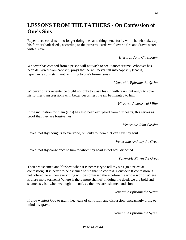## <span id="page-40-0"></span>**LESSONS FROM THE FATHERS - On Confession of One's Sins**

Repentance consists in no longer doing the same thing henceforth, while he who takes up his former (bad) deeds, according to the proverb, cards wool over a fire and draws water with a sieve.

*Hierarch John Chrysostom*

Whoever has escaped from a prison will not wish to see it another time. Whoever has been delivered from captivity prays that he will never fall into captivity (that is, repentance consists in not returning to one's former sins).

*Venerable Ephraim the Syrian*

Whoever offers repentance ought not only to wash his sin with tears, but ought to cover his former transgressions with better deeds, lest the sin be imputed to him.

*Hierarch Ambrose of Milan*

If the inclination for them (sins) has also been extirpated from our hearts, this serves as proof that they are forgiven us.

*Venerable John Cassian*

Reveal not thy thoughts to everyone, but only to them that can save thy soul.

*Venerable Anthony the Great*

Reveal not thy conscience to him to whom thy heart is not well disposed.

*Venerable Pimen the Great*

Thou art ashamed and blushest when it is necessary to tell thy sins (to a priest at confession). It is better to be ashamed to sin than to confess. Consider: If confession is not offered here, then everything will be confessed there before the whole world. Where is there more torment? Where is there more shame? In doing the deed, we are bold and shameless, but when we ought to confess, then we are ashamed and slow.

*Venerable Ephraim the Syrian*

If thou wantest God to grant thee tears of contrition and dispassion, unceasingly bring to mind thy grave.

*Venerable Ephraim the Syrian*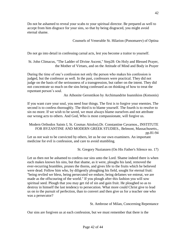Do not be ashamed to reveal your scabs to your spiritual director. Be prepared as well to accept from him disgrace for your sins, so that by being disgraced, you might avoid eternal shame.

Counsels of Venerable St. Hilarion (Ponomarev) of Optina

Do not go into detail in confessing carnal acts, lest you become a traitor to yourself.

St. John Climacus, "The Ladder of Divine Ascent," Step28: On Holy and Blessed Prayer, the Mother of Virtues, and on the Attitude of Mind and Body in Prayer

During the time of one's confession not only the person who makes his confession is judged, but the confessor as well. In the past, confessors were practical. They did not judge on the basis of the seriousness of a transgression, but rather on the intent. They did not concentrate so much on the sins being confessed as on thinking of how to treat the repentant person's soul.

An Athonite Gerontikon by Archimandrite Ioannikios (Kotsonis)

If you want cure your soul, you need four things. The first is to forgive your enemies. The second is to confess thoroughly. The third is to blame yourself. The fourth is to resolve to sin no more. If we wish to be saved, we must always blame ourselves and not attribute our wrong acts to others. And God, Who is most compassionate, will forgive us.

Modern Orthodox Saints I, St. Cosmas Aitolos).Dr. Constantine Cavarnos., INSTITUTE FOR BYZANTINE AND MODERN GREEK STUDIES., Belmont, Massachusetts., pp.81-94

Let us not wait to be convicted by others, let us be our own examiners. An important medicine for evil is confession, and care to avoid stumbling.

St. Gregory Nazianzen (On His Father's Silence no. 17)

Let us then not be ashamed to confess our sins unto the Lord. Shame indeed there is when each makes known his sins, but that shame, as it were, ploughs his land, removed the ever-recurring brambles, prunes the thorns, and gives life to the fruits which he believed were dead. Follow him who, by diligently ploughing his field, sought for eternal fruit: "being reviled we bless, being persecuted we endure, being defames we entreat, we are made as the offscouring of the world." If you plough after this fashion you will sow spiritual seed. Plough that you may get rid of sin and gain fruit. He ploughed so as to destroy in himself the last tendency to persecution. What more could Christ give to lead us on to the pursuit of perfection, than to convert and then give us for a teacher one who was a persecutor?

St. Ambrose of Milan, Concerning Repentance

Our sins are forgiven us at each confession, but we must remember that there is the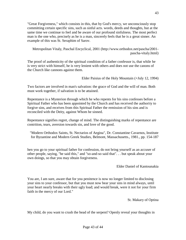"Great Forgiveness," which consists in this, that by God's mercy, we unconsciously stop committing certain specific sins, such as sinful acts. words, deeds and thoughts, but at the same time we continue to feel and be aware of our profound sinfulness. The most perfect man is the one who, precisely as he is a man, sincerely feels that he is a great sinner. An example of this was St. Seraphim of Sarov.

Metropolitan Vitaly, Paschal Encyclical, 2001 (http://www.orthodox.net/pascha/2001 pascha-vitaly.html)

The proof of authenticity of the spiritual condition of a father confessor is, that while he is very strict with himself, he is very lenient with others and does not use the canons of the Church like cannons against them.

Elder Paisius of the Holy Mountain (+July 12, 1994)

Two factors are involved in man's salvation: the grace of God and the will of man. Both must work together, if salvation is to be attained.

Repentance is a Mysterion through which he who repents for his sins confesses before a Spiritual Father who has been appointed by the Church and has received the authority to forgive sins, and receives from this Spiritual Father the remission of his sins and is reconciled with the Deity, against Whom he sinned.

Repentance signifies regret, change of mind. The distinguishing marks of repentance are contrition, tears, aversion towards sin, and love of the good.

"Modern Orthodox Saints, St. Nectarios of Aegina", Dr. Constantine Cavarnos, Institute for Byzantine and Modern Greek Studies, Belmont, Massachusetts., 1981., pp. 154-187

hen you go to your spiritual father for confession, do not bring yourself as an accuser of other people, saying, "he said this," and "so-and-so said that". . . but speak about your own doings, so that you may obtain forgiveness.

Elder Daniel of Kantounakia

You are, I am sure, aware that for you penitence is now no longer limited to disclosing your sins to your confessor, but that you must now bear your sins in mind always, until your heart nearly breaks with their ugly load; and would break, were it not for your firm faith in the mercy of our Lord."

St. Makary of Optina

My child, do you want to crush the head of the serpent? Openly reveal your thoughts in